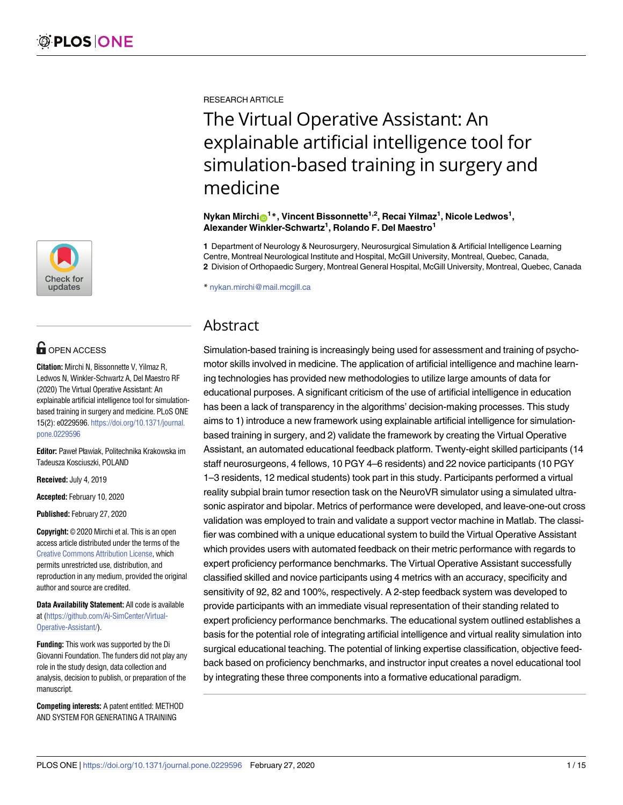

## **O** OPEN ACCESS

**Citation:** Mirchi N, Bissonnette V, Yilmaz R, Ledwos N, Winkler-Schwartz A, Del Maestro RF (2020) The Virtual Operative Assistant: An explainable artificial intelligence tool for simulationbased training in surgery and medicine. PLoS ONE 15(2): e0229596. [https://doi.org/10.1371/journal.](https://doi.org/10.1371/journal.pone.0229596) [pone.0229596](https://doi.org/10.1371/journal.pone.0229596)

**Editor:** Paweł Pławiak, Politechnika Krakowska im Tadeusza Kosciuszki, POLAND

**Received:** July 4, 2019

**Accepted:** February 10, 2020

**Published:** February 27, 2020

**Copyright:** © 2020 Mirchi et al. This is an open access article distributed under the terms of the Creative Commons [Attribution](http://creativecommons.org/licenses/by/4.0/) License, which permits unrestricted use, distribution, and reproduction in any medium, provided the original author and source are credited.

**Data Availability Statement:** All code is available at ([https://github.com/Ai-SimCenter/Virtual-](https://github.com/Ai-SimCenter/Virtual-Operative-Assistant/)[Operative-Assistant/\)](https://github.com/Ai-SimCenter/Virtual-Operative-Assistant/).

**Funding:** This work was supported by the Di Giovanni Foundation. The funders did not play any role in the study design, data collection and analysis, decision to publish, or preparation of the manuscript.

**Competing interests:** A patent entitled: METHOD AND SYSTEM FOR GENERATING A TRAINING

RESEARCH ARTICLE

# The Virtual Operative Assistant: An explainable artificial intelligence tool for simulation-based training in surgery and medicine

 $N$ ykan Mirchi $\bullet$ <sup>1</sup>\*, Vincent Bissonnette<sup>1,2</sup>, Recai Yilmaz<sup>1</sup>, Nicole Ledwos<sup>1</sup>, **Alexander Winkler-Schwartz1 , Rolando F. Del Maestro1**

**1** Department of Neurology & Neurosurgery, Neurosurgical Simulation & Artificial Intelligence Learning Centre, Montreal Neurological Institute and Hospital, McGill University, Montreal, Quebec, Canada, **2** Division of Orthopaedic Surgery, Montreal General Hospital, McGill University, Montreal, Quebec, Canada

\* nykan.mirchi@mail.mcgill.ca

## Abstract

Simulation-based training is increasingly being used for assessment and training of psychomotor skills involved in medicine. The application of artificial intelligence and machine learning technologies has provided new methodologies to utilize large amounts of data for educational purposes. A significant criticism of the use of artificial intelligence in education has been a lack of transparency in the algorithms' decision-making processes. This study aims to 1) introduce a new framework using explainable artificial intelligence for simulationbased training in surgery, and 2) validate the framework by creating the Virtual Operative Assistant, an automated educational feedback platform. Twenty-eight skilled participants (14 staff neurosurgeons, 4 fellows, 10 PGY 4–6 residents) and 22 novice participants (10 PGY 1–3 residents, 12 medical students) took part in this study. Participants performed a virtual reality subpial brain tumor resection task on the NeuroVR simulator using a simulated ultrasonic aspirator and bipolar. Metrics of performance were developed, and leave-one-out cross validation was employed to train and validate a support vector machine in Matlab. The classifier was combined with a unique educational system to build the Virtual Operative Assistant which provides users with automated feedback on their metric performance with regards to expert proficiency performance benchmarks. The Virtual Operative Assistant successfully classified skilled and novice participants using 4 metrics with an accuracy, specificity and sensitivity of 92, 82 and 100%, respectively. A 2-step feedback system was developed to provide participants with an immediate visual representation of their standing related to expert proficiency performance benchmarks. The educational system outlined establishes a basis for the potential role of integrating artificial intelligence and virtual reality simulation into surgical educational teaching. The potential of linking expertise classification, objective feedback based on proficiency benchmarks, and instructor input creates a novel educational tool by integrating these three components into a formative educational paradigm.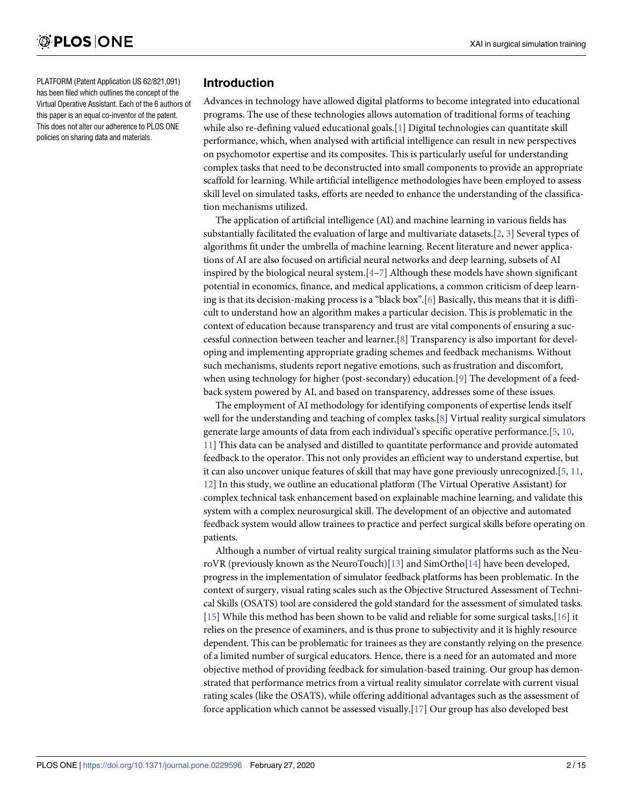<span id="page-1-0"></span>PLATFORM (Patent Application US 62/821,091) has been filed which outlines the concept of the Virtual Operative Assistant. Each of the 6 authors of this paper is an equal co-inventor of the patent. This does not alter our adherence to PLOS ONE policies on sharing data and materials.

## **Introduction**

Advances in technology have allowed digital platforms to become integrated into educational programs. The use of these technologies allows automation of traditional forms of teaching while also re-defining valued educational goals.[\[1\]](#page-13-0) Digital technologies can quantitate skill performance, which, when analysed with artificial intelligence can result in new perspectives on psychomotor expertise and its composites. This is particularly useful for understanding complex tasks that need to be deconstructed into small components to provide an appropriate scaffold for learning. While artificial intelligence methodologies have been employed to assess skill level on simulated tasks, efforts are needed to enhance the understanding of the classification mechanisms utilized.

The application of artificial intelligence (AI) and machine learning in various fields has substantially facilitated the evaluation of large and multivariate datasets.[\[2,](#page-13-0) [3](#page-13-0)] Several types of algorithms fit under the umbrella of machine learning. Recent literature and newer applications of AI are also focused on artificial neural networks and deep learning, subsets of AI inspired by the biological neural system. $[4-7]$  Although these models have shown significant potential in economics, finance, and medical applications, a common criticism of deep learning is that its decision-making process is a "black box".[\[6](#page-13-0)] Basically, this means that it is difficult to understand how an algorithm makes a particular decision. This is problematic in the context of education because transparency and trust are vital components of ensuring a successful connection between teacher and learner.[\[8](#page-13-0)] Transparency is also important for developing and implementing appropriate grading schemes and feedback mechanisms. Without such mechanisms, students report negative emotions, such as frustration and discomfort, when using technology for higher (post-secondary) education.[\[9\]](#page-13-0) The development of a feedback system powered by AI, and based on transparency, addresses some of these issues.

The employment of AI methodology for identifying components of expertise lends itself well for the understanding and teaching of complex tasks.[\[8](#page-13-0)] Virtual reality surgical simulators generate large amounts of data from each individual's specific operative performance.[\[5,](#page-13-0) [10,](#page-13-0) [11\]](#page-13-0) This data can be analysed and distilled to quantitate performance and provide automated feedback to the operator. This not only provides an efficient way to understand expertise, but it can also uncover unique features of skill that may have gone previously unrecognized.[[5](#page-13-0), [11](#page-13-0), [12\]](#page-13-0) In this study, we outline an educational platform (The Virtual Operative Assistant) for complex technical task enhancement based on explainable machine learning, and validate this system with a complex neurosurgical skill. The development of an objective and automated feedback system would allow trainees to practice and perfect surgical skills before operating on patients.

Although a number of virtual reality surgical training simulator platforms such as the NeuroVR (previously known as the NeuroTouch)[\[13\]](#page-13-0) and SimOrtho[\[14\]](#page-13-0) have been developed, progress in the implementation of simulator feedback platforms has been problematic. In the context of surgery, visual rating scales such as the Objective Structured Assessment of Technical Skills (OSATS) tool are considered the gold standard for the assessment of simulated tasks. [\[15\]](#page-13-0) While this method has been shown to be valid and reliable for some surgical tasks,[[16](#page-13-0)] it relies on the presence of examiners, and is thus prone to subjectivity and it is highly resource dependent. This can be problematic for trainees as they are constantly relying on the presence of a limited number of surgical educators. Hence, there is a need for an automated and more objective method of providing feedback for simulation-based training. Our group has demonstrated that performance metrics from a virtual reality simulator correlate with current visual rating scales (like the OSATS), while offering additional advantages such as the assessment of force application which cannot be assessed visually.[\[17\]](#page-13-0) Our group has also developed best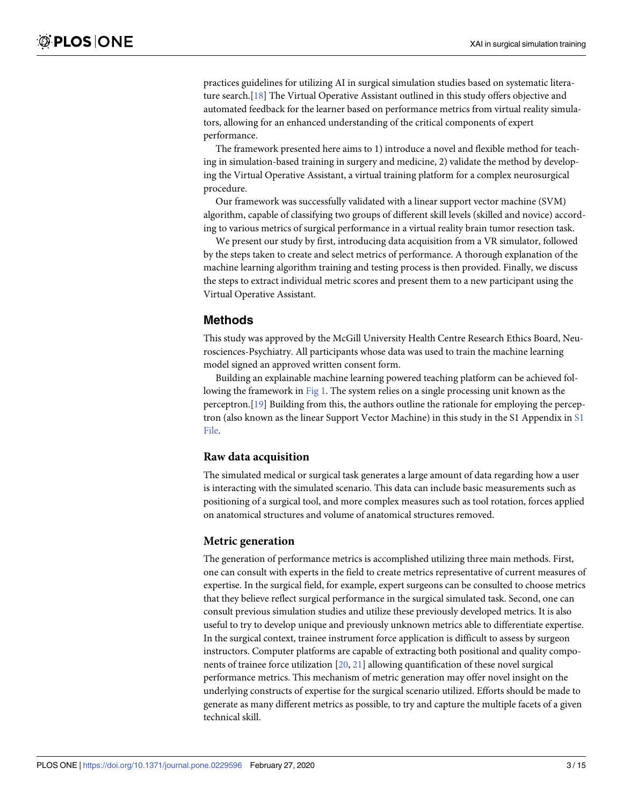<span id="page-2-0"></span>practices guidelines for utilizing AI in surgical simulation studies based on systematic literature search.[\[18\]](#page-13-0) The Virtual Operative Assistant outlined in this study offers objective and automated feedback for the learner based on performance metrics from virtual reality simulators, allowing for an enhanced understanding of the critical components of expert performance.

The framework presented here aims to 1) introduce a novel and flexible method for teaching in simulation-based training in surgery and medicine, 2) validate the method by developing the Virtual Operative Assistant, a virtual training platform for a complex neurosurgical procedure.

Our framework was successfully validated with a linear support vector machine (SVM) algorithm, capable of classifying two groups of different skill levels (skilled and novice) according to various metrics of surgical performance in a virtual reality brain tumor resection task.

We present our study by first, introducing data acquisition from a VR simulator, followed by the steps taken to create and select metrics of performance. A thorough explanation of the machine learning algorithm training and testing process is then provided. Finally, we discuss the steps to extract individual metric scores and present them to a new participant using the Virtual Operative Assistant.

## **Methods**

This study was approved by the McGill University Health Centre Research Ethics Board, Neurosciences-Psychiatry. All participants whose data was used to train the machine learning model signed an approved written consent form.

Building an explainable machine learning powered teaching platform can be achieved following the framework in [Fig](#page-3-0) 1. The system relies on a single processing unit known as the perceptron.[[19](#page-13-0)] Building from this, the authors outline the rationale for employing the perceptron (also known as the linear Support Vector Machine) in this study in the S1 Appendix in [S1](#page-12-0) [File.](#page-12-0)

## **Raw data acquisition**

The simulated medical or surgical task generates a large amount of data regarding how a user is interacting with the simulated scenario. This data can include basic measurements such as positioning of a surgical tool, and more complex measures such as tool rotation, forces applied on anatomical structures and volume of anatomical structures removed.

## **Metric generation**

The generation of performance metrics is accomplished utilizing three main methods. First, one can consult with experts in the field to create metrics representative of current measures of expertise. In the surgical field, for example, expert surgeons can be consulted to choose metrics that they believe reflect surgical performance in the surgical simulated task. Second, one can consult previous simulation studies and utilize these previously developed metrics. It is also useful to try to develop unique and previously unknown metrics able to differentiate expertise. In the surgical context, trainee instrument force application is difficult to assess by surgeon instructors. Computer platforms are capable of extracting both positional and quality components of trainee force utilization [[20](#page-13-0), [21](#page-13-0)] allowing quantification of these novel surgical performance metrics. This mechanism of metric generation may offer novel insight on the underlying constructs of expertise for the surgical scenario utilized. Efforts should be made to generate as many different metrics as possible, to try and capture the multiple facets of a given technical skill.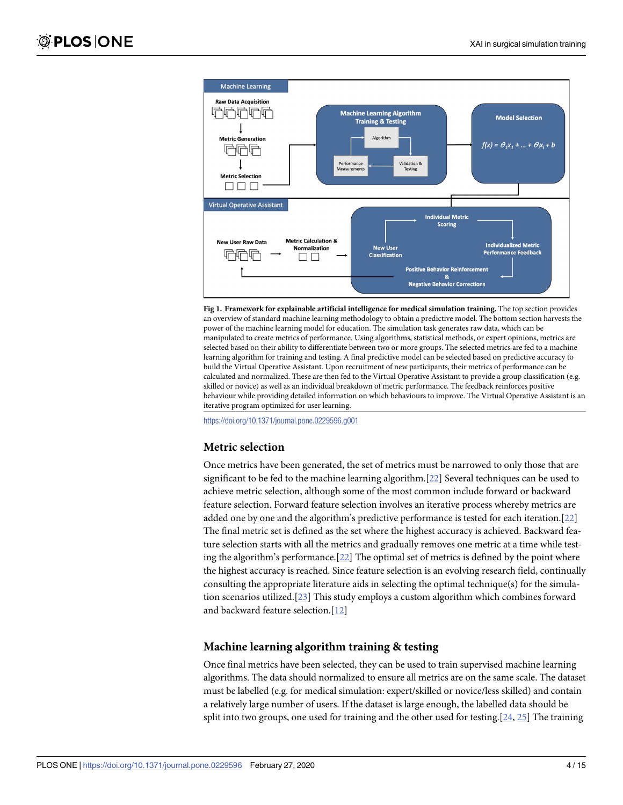<span id="page-3-0"></span>

**[Fig](#page-2-0) 1. Framework for explainable artificial intelligence for medical simulation training.** The top section provides an overview of standard machine learning methodology to obtain a predictive model. The bottom section harvests the power of the machine learning model for education. The simulation task generates raw data, which can be manipulated to create metrics of performance. Using algorithms, statistical methods, or expert opinions, metrics are selected based on their ability to differentiate between two or more groups. The selected metrics are fed to a machine learning algorithm for training and testing. A final predictive model can be selected based on predictive accuracy to build the Virtual Operative Assistant. Upon recruitment of new participants, their metrics of performance can be calculated and normalized. These are then fed to the Virtual Operative Assistant to provide a group classification (e.g. skilled or novice) as well as an individual breakdown of metric performance. The feedback reinforces positive behaviour while providing detailed information on which behaviours to improve. The Virtual Operative Assistant is an iterative program optimized for user learning.

<https://doi.org/10.1371/journal.pone.0229596.g001>

## **Metric selection**

Once metrics have been generated, the set of metrics must be narrowed to only those that are significant to be fed to the machine learning algorithm.[\[22\]](#page-14-0) Several techniques can be used to achieve metric selection, although some of the most common include forward or backward feature selection. Forward feature selection involves an iterative process whereby metrics are added one by one and the algorithm's predictive performance is tested for each iteration.[\[22\]](#page-14-0) The final metric set is defined as the set where the highest accuracy is achieved. Backward feature selection starts with all the metrics and gradually removes one metric at a time while testing the algorithm's performance.[[22](#page-14-0)] The optimal set of metrics is defined by the point where the highest accuracy is reached. Since feature selection is an evolving research field, continually consulting the appropriate literature aids in selecting the optimal technique(s) for the simulation scenarios utilized.[[23](#page-14-0)] This study employs a custom algorithm which combines forward and backward feature selection.[[12](#page-13-0)]

#### **Machine learning algorithm training & testing**

Once final metrics have been selected, they can be used to train supervised machine learning algorithms. The data should normalized to ensure all metrics are on the same scale. The dataset must be labelled (e.g. for medical simulation: expert/skilled or novice/less skilled) and contain a relatively large number of users. If the dataset is large enough, the labelled data should be split into two groups, one used for training and the other used for testing.[\[24,](#page-14-0) [25\]](#page-14-0) The training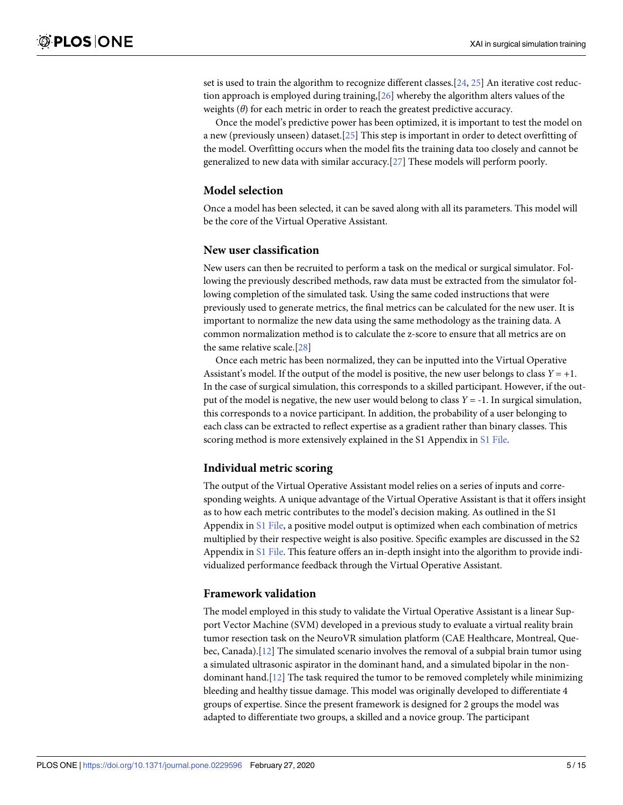<span id="page-4-0"></span>set is used to train the algorithm to recognize different classes.[\[24,](#page-14-0) [25\]](#page-14-0) An iterative cost reduction approach is employed during training,[[26](#page-14-0)] whereby the algorithm alters values of the weights (*θ*) for each metric in order to reach the greatest predictive accuracy.

Once the model's predictive power has been optimized, it is important to test the model on a new (previously unseen) dataset.[[25](#page-14-0)] This step is important in order to detect overfitting of the model. Overfitting occurs when the model fits the training data too closely and cannot be generalized to new data with similar accuracy.[\[27\]](#page-14-0) These models will perform poorly.

## **Model selection**

Once a model has been selected, it can be saved along with all its parameters. This model will be the core of the Virtual Operative Assistant.

## **New user classification**

New users can then be recruited to perform a task on the medical or surgical simulator. Following the previously described methods, raw data must be extracted from the simulator following completion of the simulated task. Using the same coded instructions that were previously used to generate metrics, the final metrics can be calculated for the new user. It is important to normalize the new data using the same methodology as the training data. A common normalization method is to calculate the z-score to ensure that all metrics are on the same relative scale.[\[28\]](#page-14-0)

Once each metric has been normalized, they can be inputted into the Virtual Operative Assistant's model. If the output of the model is positive, the new user belongs to class  $Y = +1$ . In the case of surgical simulation, this corresponds to a skilled participant. However, if the output of the model is negative, the new user would belong to class  $Y = -1$ . In surgical simulation, this corresponds to a novice participant. In addition, the probability of a user belonging to each class can be extracted to reflect expertise as a gradient rather than binary classes. This scoring method is more extensively explained in the S1 Appendix in S1 [File.](#page-12-0)

## **Individual metric scoring**

The output of the Virtual Operative Assistant model relies on a series of inputs and corresponding weights. A unique advantage of the Virtual Operative Assistant is that it offers insight as to how each metric contributes to the model's decision making. As outlined in the S1 Appendix in S1 [File](#page-12-0), a positive model output is optimized when each combination of metrics multiplied by their respective weight is also positive. Specific examples are discussed in the S2 Appendix in S1 [File](#page-12-0). This feature offers an in-depth insight into the algorithm to provide individualized performance feedback through the Virtual Operative Assistant.

## **Framework validation**

The model employed in this study to validate the Virtual Operative Assistant is a linear Support Vector Machine (SVM) developed in a previous study to evaluate a virtual reality brain tumor resection task on the NeuroVR simulation platform (CAE Healthcare, Montreal, Quebec, Canada).[\[12\]](#page-13-0) The simulated scenario involves the removal of a subpial brain tumor using a simulated ultrasonic aspirator in the dominant hand, and a simulated bipolar in the nondominant hand.[[12](#page-13-0)] The task required the tumor to be removed completely while minimizing bleeding and healthy tissue damage. This model was originally developed to differentiate 4 groups of expertise. Since the present framework is designed for 2 groups the model was adapted to differentiate two groups, a skilled and a novice group. The participant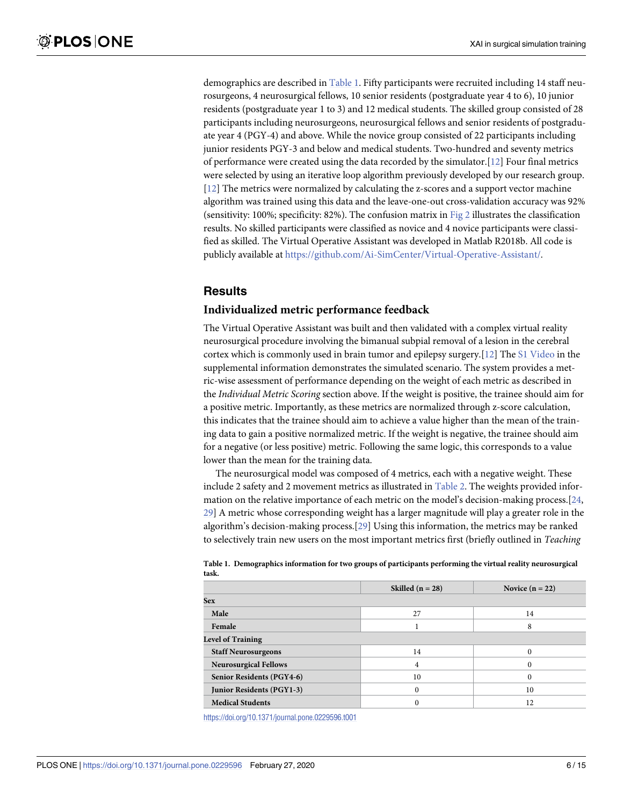<span id="page-5-0"></span>demographics are described in Table 1. Fifty participants were recruited including 14 staff neurosurgeons, 4 neurosurgical fellows, 10 senior residents (postgraduate year 4 to 6), 10 junior residents (postgraduate year 1 to 3) and 12 medical students. The skilled group consisted of 28 participants including neurosurgeons, neurosurgical fellows and senior residents of postgraduate year 4 (PGY-4) and above. While the novice group consisted of 22 participants including junior residents PGY-3 and below and medical students. Two-hundred and seventy metrics of performance were created using the data recorded by the simulator.[\[12\]](#page-13-0) Four final metrics were selected by using an iterative loop algorithm previously developed by our research group. [\[12\]](#page-13-0) The metrics were normalized by calculating the z-scores and a support vector machine algorithm was trained using this data and the leave-one-out cross-validation accuracy was 92% (sensitivity: 100%; specificity: 82%). The confusion matrix in [Fig](#page-6-0) 2 illustrates the classification results. No skilled participants were classified as novice and 4 novice participants were classified as skilled. The Virtual Operative Assistant was developed in Matlab R2018b. All code is publicly available at [https://github.com/Ai-SimCenter/Virtual-Operative-Assistant/.](https://github.com/Ai-SimCenter/Virtual-Operative-Assistant/)

## **Results**

#### **Individualized metric performance feedback**

The Virtual Operative Assistant was built and then validated with a complex virtual reality neurosurgical procedure involving the bimanual subpial removal of a lesion in the cerebral cortex which is commonly used in brain tumor and epilepsy surgery.[\[12\]](#page-13-0) The S1 [Video](#page-12-0) in the supplemental information demonstrates the simulated scenario. The system provides a metric-wise assessment of performance depending on the weight of each metric as described in the *Individual Metric Scoring* section above. If the weight is positive, the trainee should aim for a positive metric. Importantly, as these metrics are normalized through z-score calculation, this indicates that the trainee should aim to achieve a value higher than the mean of the training data to gain a positive normalized metric. If the weight is negative, the trainee should aim for a negative (or less positive) metric. Following the same logic, this corresponds to a value lower than the mean for the training data.

The neurosurgical model was composed of 4 metrics, each with a negative weight. These include 2 safety and 2 movement metrics as illustrated in [Table](#page-6-0) 2. The weights provided information on the relative importance of each metric on the model's decision-making process.[[24](#page-14-0), [29\]](#page-14-0) A metric whose corresponding weight has a larger magnitude will play a greater role in the algorithm's decision-making process.[[29](#page-14-0)] Using this information, the metrics may be ranked to selectively train new users on the most important metrics first (briefly outlined in *Teaching*

| Skilled ( $n = 28$ ) | Novice $(n = 22)$ |  |  |
|----------------------|-------------------|--|--|
|                      |                   |  |  |
| 27                   | 14                |  |  |
|                      | 8                 |  |  |
|                      |                   |  |  |
| 14                   | 0                 |  |  |
| 4                    | 0                 |  |  |
| 10                   |                   |  |  |
| $\theta$             | 10                |  |  |
|                      | 12                |  |  |
|                      |                   |  |  |

#### **Table 1. Demographics information for two groups of participants performing the virtual reality neurosurgical task.**

<https://doi.org/10.1371/journal.pone.0229596.t001>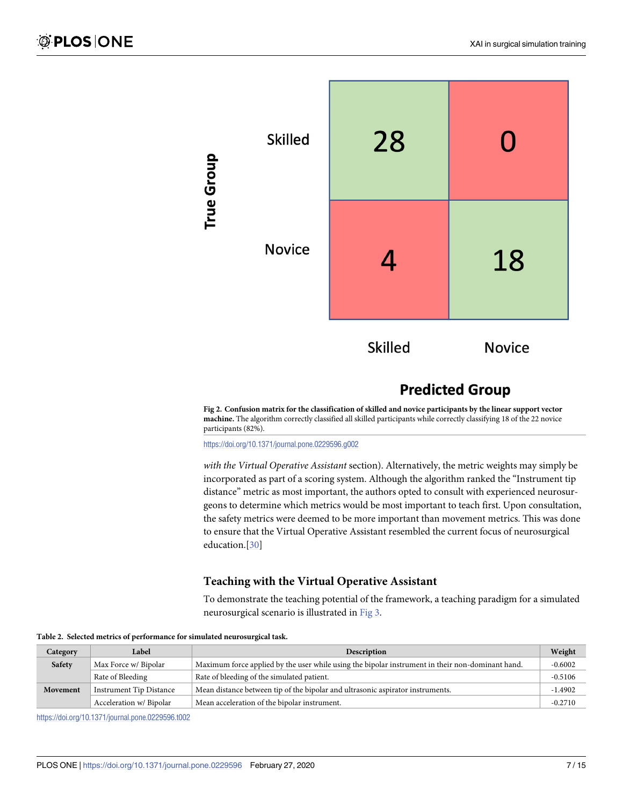<span id="page-6-0"></span>

## **Predicted Group**

[Fig](#page-5-0) 2. Confusion matrix for the classification of skilled and novice participants by the linear support vector **machine.** The algorithm correctly classified all skilled participants while correctly classifying 18 of the 22 novice participants (82%).

<https://doi.org/10.1371/journal.pone.0229596.g002>

*with the Virtual Operative Assistant* section). Alternatively, the metric weights may simply be incorporated as part of a scoring system. Although the algorithm ranked the "Instrument tip distance" metric as most important, the authors opted to consult with experienced neurosurgeons to determine which metrics would be most important to teach first. Upon consultation, the safety metrics were deemed to be more important than movement metrics. This was done to ensure that the Virtual Operative Assistant resembled the current focus of neurosurgical education.[\[30\]](#page-14-0)

## **Teaching with the Virtual Operative Assistant**

To demonstrate the teaching potential of the framework, a teaching paradigm for a simulated neurosurgical scenario is illustrated in [Fig](#page-7-0) 3.

| Category | Label                   | Description                                                                                      | Weight    |
|----------|-------------------------|--------------------------------------------------------------------------------------------------|-----------|
| Safety   | Max Force w/ Bipolar    | Maximum force applied by the user while using the bipolar instrument in their non-dominant hand. | $-0.6002$ |
|          | Rate of Bleeding        | Rate of bleeding of the simulated patient.                                                       | $-0.5106$ |
| Movement | Instrument Tip Distance | Mean distance between tip of the bipolar and ultrasonic aspirator instruments.                   | $-1.4902$ |
|          | Acceleration w/ Bipolar | Mean acceleration of the bipolar instrument.                                                     | $-0.2710$ |

**[Table](#page-5-0) 2. Selected metrics of performance for simulated neurosurgical task.**

<https://doi.org/10.1371/journal.pone.0229596.t002>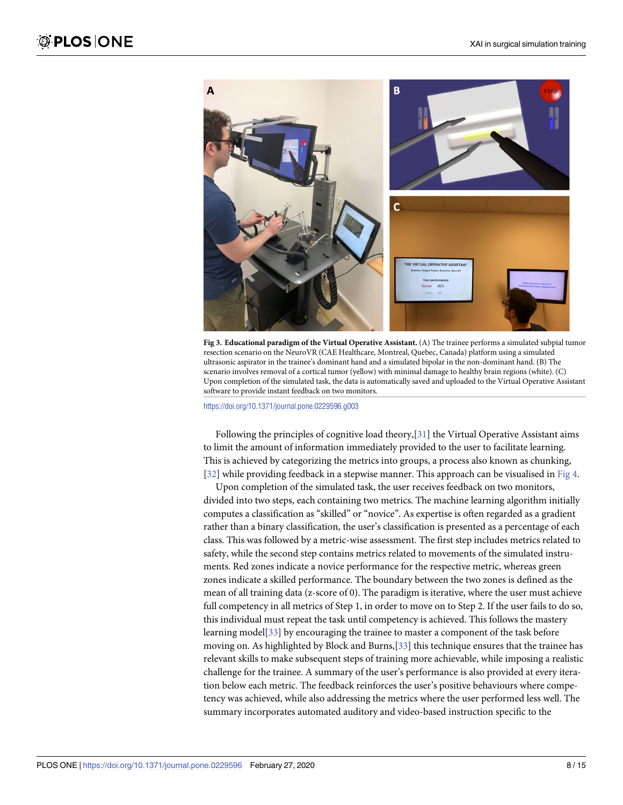<span id="page-7-0"></span>

**[Fig](#page-6-0) 3. Educational paradigm of the Virtual Operative Assistant.** (A) The trainee performs a simulated subpial tumor resection scenario on the NeuroVR (CAE Healthcare, Montreal, Quebec, Canada) platform using a simulated ultrasonic aspirator in the trainee's dominant hand and a simulated bipolar in the non-dominant hand. (B) The scenario involves removal of a cortical tumor (yellow) with minimal damage to healthy brain regions (white). (C) Upon completion of the simulated task, the data is automatically saved and uploaded to the Virtual Operative Assistant software to provide instant feedback on two monitors.

<https://doi.org/10.1371/journal.pone.0229596.g003>

Following the principles of cognitive load theory,[\[31\]](#page-14-0) the Virtual Operative Assistant aims to limit the amount of information immediately provided to the user to facilitate learning. This is achieved by categorizing the metrics into groups, a process also known as chunking, [\[32\]](#page-14-0) while providing feedback in a stepwise manner. This approach can be visualised in [Fig](#page-8-0) 4.

Upon completion of the simulated task, the user receives feedback on two monitors, divided into two steps, each containing two metrics. The machine learning algorithm initially computes a classification as "skilled" or "novice". As expertise is often regarded as a gradient rather than a binary classification, the user's classification is presented as a percentage of each class. This was followed by a metric-wise assessment. The first step includes metrics related to safety, while the second step contains metrics related to movements of the simulated instruments. Red zones indicate a novice performance for the respective metric, whereas green zones indicate a skilled performance. The boundary between the two zones is defined as the mean of all training data (z-score of 0). The paradigm is iterative, where the user must achieve full competency in all metrics of Step 1, in order to move on to Step 2. If the user fails to do so, this individual must repeat the task until competency is achieved. This follows the mastery learning model[[33](#page-14-0)] by encouraging the trainee to master a component of the task before moving on. As highlighted by Block and Burns,[[33\]](#page-14-0) this technique ensures that the trainee has relevant skills to make subsequent steps of training more achievable, while imposing a realistic challenge for the trainee. A summary of the user's performance is also provided at every iteration below each metric. The feedback reinforces the user's positive behaviours where competency was achieved, while also addressing the metrics where the user performed less well. The summary incorporates automated auditory and video-based instruction specific to the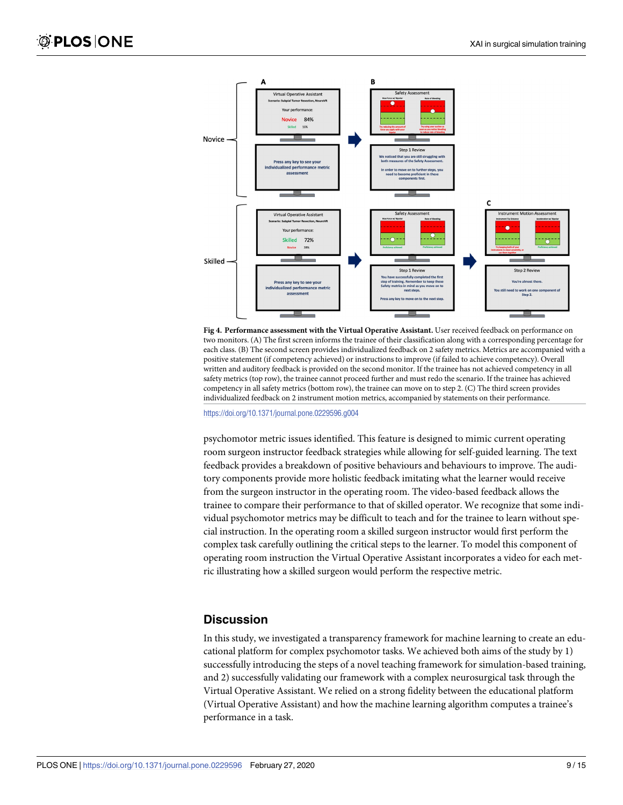<span id="page-8-0"></span>

**[Fig](#page-7-0) 4. Performance assessment with the Virtual Operative Assistant.** User received feedback on performance on two monitors. (A) The first screen informs the trainee of their classification along with a corresponding percentage for each class. (B) The second screen provides individualized feedback on 2 safety metrics. Metrics are accompanied with a positive statement (if competency achieved) or instructions to improve (if failed to achieve competency). Overall written and auditory feedback is provided on the second monitor. If the trainee has not achieved competency in all safety metrics (top row), the trainee cannot proceed further and must redo the scenario. If the trainee has achieved competency in all safety metrics (bottom row), the trainee can move on to step 2. (C) The third screen provides individualized feedback on 2 instrument motion metrics, accompanied by statements on their performance.

<https://doi.org/10.1371/journal.pone.0229596.g004>

psychomotor metric issues identified. This feature is designed to mimic current operating room surgeon instructor feedback strategies while allowing for self-guided learning. The text feedback provides a breakdown of positive behaviours and behaviours to improve. The auditory components provide more holistic feedback imitating what the learner would receive from the surgeon instructor in the operating room. The video-based feedback allows the trainee to compare their performance to that of skilled operator. We recognize that some individual psychomotor metrics may be difficult to teach and for the trainee to learn without special instruction. In the operating room a skilled surgeon instructor would first perform the complex task carefully outlining the critical steps to the learner. To model this component of operating room instruction the Virtual Operative Assistant incorporates a video for each metric illustrating how a skilled surgeon would perform the respective metric.

## **Discussion**

In this study, we investigated a transparency framework for machine learning to create an educational platform for complex psychomotor tasks. We achieved both aims of the study by 1) successfully introducing the steps of a novel teaching framework for simulation-based training, and 2) successfully validating our framework with a complex neurosurgical task through the Virtual Operative Assistant. We relied on a strong fidelity between the educational platform (Virtual Operative Assistant) and how the machine learning algorithm computes a trainee's performance in a task.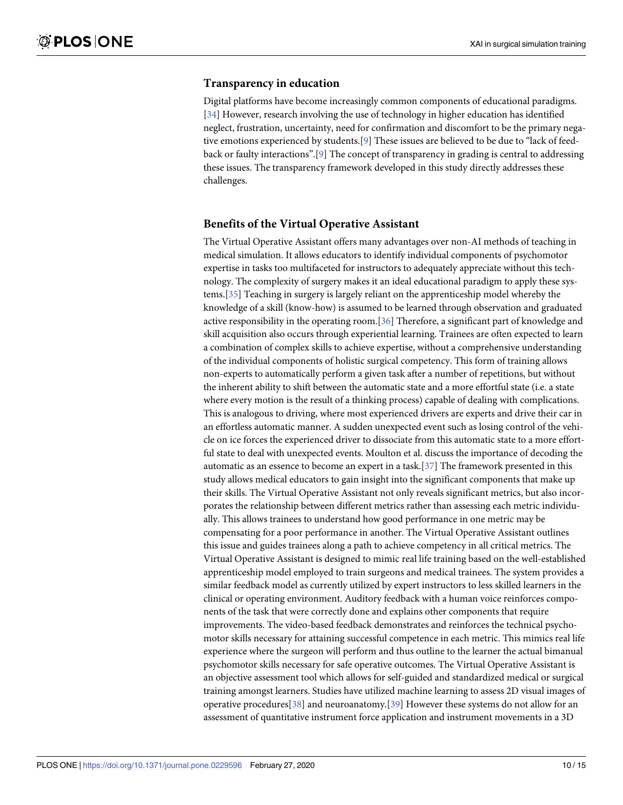## <span id="page-9-0"></span>**Transparency in education**

Digital platforms have become increasingly common components of educational paradigms. [\[34\]](#page-14-0) However, research involving the use of technology in higher education has identified neglect, frustration, uncertainty, need for confirmation and discomfort to be the primary negative emotions experienced by students.[\[9](#page-13-0)] These issues are believed to be due to "lack of feedback or faulty interactions".[[9](#page-13-0)] The concept of transparency in grading is central to addressing these issues. The transparency framework developed in this study directly addresses these challenges.

## **Benefits of the Virtual Operative Assistant**

The Virtual Operative Assistant offers many advantages over non-AI methods of teaching in medical simulation. It allows educators to identify individual components of psychomotor expertise in tasks too multifaceted for instructors to adequately appreciate without this technology. The complexity of surgery makes it an ideal educational paradigm to apply these systems.[[35](#page-14-0)] Teaching in surgery is largely reliant on the apprenticeship model whereby the knowledge of a skill (know-how) is assumed to be learned through observation and graduated active responsibility in the operating room.[[36](#page-14-0)] Therefore, a significant part of knowledge and skill acquisition also occurs through experiential learning. Trainees are often expected to learn a combination of complex skills to achieve expertise, without a comprehensive understanding of the individual components of holistic surgical competency. This form of training allows non-experts to automatically perform a given task after a number of repetitions, but without the inherent ability to shift between the automatic state and a more effortful state (i.e. a state where every motion is the result of a thinking process) capable of dealing with complications. This is analogous to driving, where most experienced drivers are experts and drive their car in an effortless automatic manner. A sudden unexpected event such as losing control of the vehicle on ice forces the experienced driver to dissociate from this automatic state to a more effortful state to deal with unexpected events. Moulton et al. discuss the importance of decoding the automatic as an essence to become an expert in a task.[\[37\]](#page-14-0) The framework presented in this study allows medical educators to gain insight into the significant components that make up their skills. The Virtual Operative Assistant not only reveals significant metrics, but also incorporates the relationship between different metrics rather than assessing each metric individually. This allows trainees to understand how good performance in one metric may be compensating for a poor performance in another. The Virtual Operative Assistant outlines this issue and guides trainees along a path to achieve competency in all critical metrics. The Virtual Operative Assistant is designed to mimic real life training based on the well-established apprenticeship model employed to train surgeons and medical trainees. The system provides a similar feedback model as currently utilized by expert instructors to less skilled learners in the clinical or operating environment. Auditory feedback with a human voice reinforces components of the task that were correctly done and explains other components that require improvements. The video-based feedback demonstrates and reinforces the technical psychomotor skills necessary for attaining successful competence in each metric. This mimics real life experience where the surgeon will perform and thus outline to the learner the actual bimanual psychomotor skills necessary for safe operative outcomes. The Virtual Operative Assistant is an objective assessment tool which allows for self-guided and standardized medical or surgical training amongst learners. Studies have utilized machine learning to assess 2D visual images of operative procedures[\[38\]](#page-14-0) and neuroanatomy.[[39](#page-14-0)] However these systems do not allow for an assessment of quantitative instrument force application and instrument movements in a 3D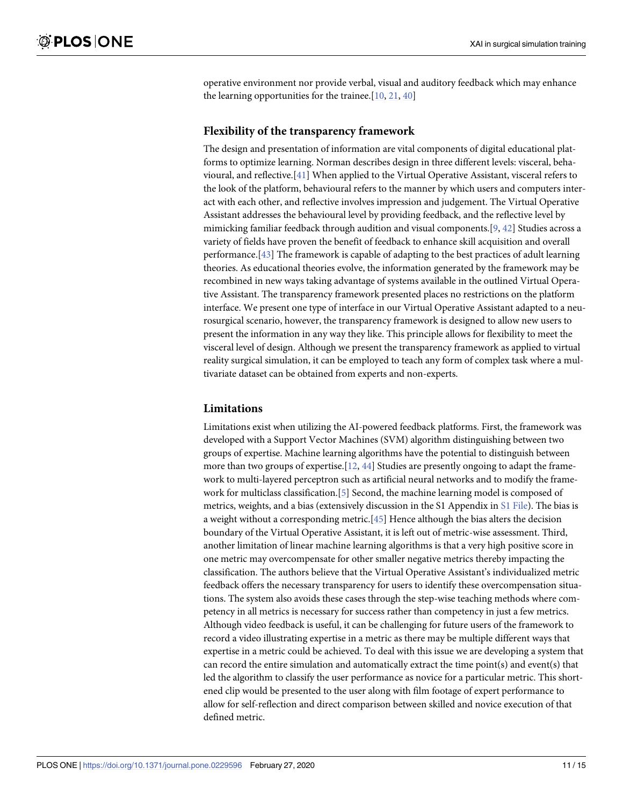<span id="page-10-0"></span>operative environment nor provide verbal, visual and auditory feedback which may enhance the learning opportunities for the trainee. $[10, 21, 40]$  $[10, 21, 40]$  $[10, 21, 40]$  $[10, 21, 40]$  $[10, 21, 40]$ 

## **Flexibility of the transparency framework**

The design and presentation of information are vital components of digital educational platforms to optimize learning. Norman describes design in three different levels: visceral, behavioural, and reflective.[[41](#page-14-0)] When applied to the Virtual Operative Assistant, visceral refers to the look of the platform, behavioural refers to the manner by which users and computers interact with each other, and reflective involves impression and judgement. The Virtual Operative Assistant addresses the behavioural level by providing feedback, and the reflective level by mimicking familiar feedback through audition and visual components.[[9,](#page-13-0) [42\]](#page-14-0) Studies across a variety of fields have proven the benefit of feedback to enhance skill acquisition and overall performance.[[43](#page-14-0)] The framework is capable of adapting to the best practices of adult learning theories. As educational theories evolve, the information generated by the framework may be recombined in new ways taking advantage of systems available in the outlined Virtual Operative Assistant. The transparency framework presented places no restrictions on the platform interface. We present one type of interface in our Virtual Operative Assistant adapted to a neurosurgical scenario, however, the transparency framework is designed to allow new users to present the information in any way they like. This principle allows for flexibility to meet the visceral level of design. Although we present the transparency framework as applied to virtual reality surgical simulation, it can be employed to teach any form of complex task where a multivariate dataset can be obtained from experts and non-experts.

## **Limitations**

Limitations exist when utilizing the AI-powered feedback platforms. First, the framework was developed with a Support Vector Machines (SVM) algorithm distinguishing between two groups of expertise. Machine learning algorithms have the potential to distinguish between more than two groups of expertise.[[12](#page-13-0), [44](#page-14-0)] Studies are presently ongoing to adapt the framework to multi-layered perceptron such as artificial neural networks and to modify the framework for multiclass classification.[[5](#page-13-0)] Second, the machine learning model is composed of metrics, weights, and a bias (extensively discussion in the S1 Appendix in S1 [File\)](#page-12-0). The bias is a weight without a corresponding metric.[[45\]](#page-14-0) Hence although the bias alters the decision boundary of the Virtual Operative Assistant, it is left out of metric-wise assessment. Third, another limitation of linear machine learning algorithms is that a very high positive score in one metric may overcompensate for other smaller negative metrics thereby impacting the classification. The authors believe that the Virtual Operative Assistant's individualized metric feedback offers the necessary transparency for users to identify these overcompensation situations. The system also avoids these cases through the step-wise teaching methods where competency in all metrics is necessary for success rather than competency in just a few metrics. Although video feedback is useful, it can be challenging for future users of the framework to record a video illustrating expertise in a metric as there may be multiple different ways that expertise in a metric could be achieved. To deal with this issue we are developing a system that can record the entire simulation and automatically extract the time point(s) and event(s) that led the algorithm to classify the user performance as novice for a particular metric. This shortened clip would be presented to the user along with film footage of expert performance to allow for self-reflection and direct comparison between skilled and novice execution of that defined metric.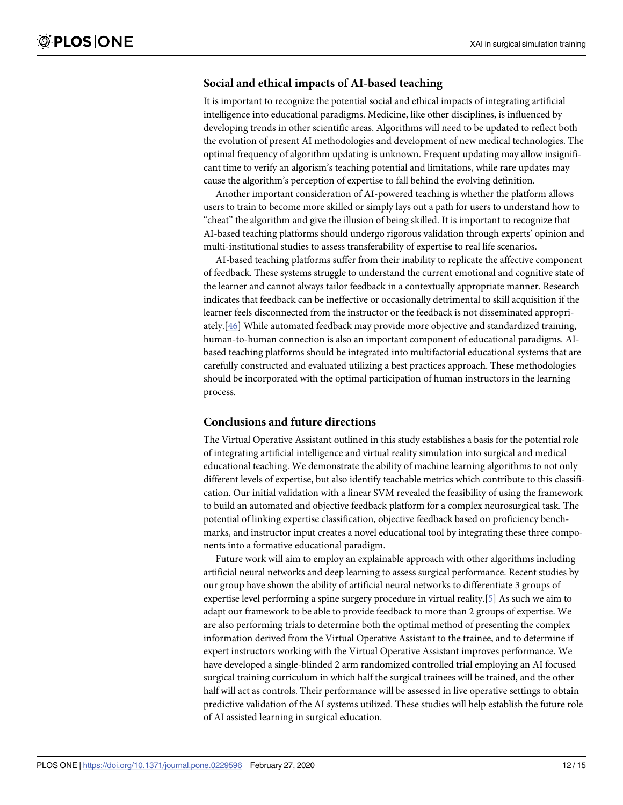## <span id="page-11-0"></span>**Social and ethical impacts of AI-based teaching**

It is important to recognize the potential social and ethical impacts of integrating artificial intelligence into educational paradigms. Medicine, like other disciplines, is influenced by developing trends in other scientific areas. Algorithms will need to be updated to reflect both the evolution of present AI methodologies and development of new medical technologies. The optimal frequency of algorithm updating is unknown. Frequent updating may allow insignificant time to verify an algorism's teaching potential and limitations, while rare updates may cause the algorithm's perception of expertise to fall behind the evolving definition.

Another important consideration of AI-powered teaching is whether the platform allows users to train to become more skilled or simply lays out a path for users to understand how to "cheat" the algorithm and give the illusion of being skilled. It is important to recognize that AI-based teaching platforms should undergo rigorous validation through experts' opinion and multi-institutional studies to assess transferability of expertise to real life scenarios.

AI-based teaching platforms suffer from their inability to replicate the affective component of feedback. These systems struggle to understand the current emotional and cognitive state of the learner and cannot always tailor feedback in a contextually appropriate manner. Research indicates that feedback can be ineffective or occasionally detrimental to skill acquisition if the learner feels disconnected from the instructor or the feedback is not disseminated appropriately.[\[46\]](#page-14-0) While automated feedback may provide more objective and standardized training, human-to-human connection is also an important component of educational paradigms. AIbased teaching platforms should be integrated into multifactorial educational systems that are carefully constructed and evaluated utilizing a best practices approach. These methodologies should be incorporated with the optimal participation of human instructors in the learning process.

## **Conclusions and future directions**

The Virtual Operative Assistant outlined in this study establishes a basis for the potential role of integrating artificial intelligence and virtual reality simulation into surgical and medical educational teaching. We demonstrate the ability of machine learning algorithms to not only different levels of expertise, but also identify teachable metrics which contribute to this classification. Our initial validation with a linear SVM revealed the feasibility of using the framework to build an automated and objective feedback platform for a complex neurosurgical task. The potential of linking expertise classification, objective feedback based on proficiency benchmarks, and instructor input creates a novel educational tool by integrating these three components into a formative educational paradigm.

Future work will aim to employ an explainable approach with other algorithms including artificial neural networks and deep learning to assess surgical performance. Recent studies by our group have shown the ability of artificial neural networks to differentiate 3 groups of expertise level performing a spine surgery procedure in virtual reality.[[5\]](#page-13-0) As such we aim to adapt our framework to be able to provide feedback to more than 2 groups of expertise. We are also performing trials to determine both the optimal method of presenting the complex information derived from the Virtual Operative Assistant to the trainee, and to determine if expert instructors working with the Virtual Operative Assistant improves performance. We have developed a single-blinded 2 arm randomized controlled trial employing an AI focused surgical training curriculum in which half the surgical trainees will be trained, and the other half will act as controls. Their performance will be assessed in live operative settings to obtain predictive validation of the AI systems utilized. These studies will help establish the future role of AI assisted learning in surgical education.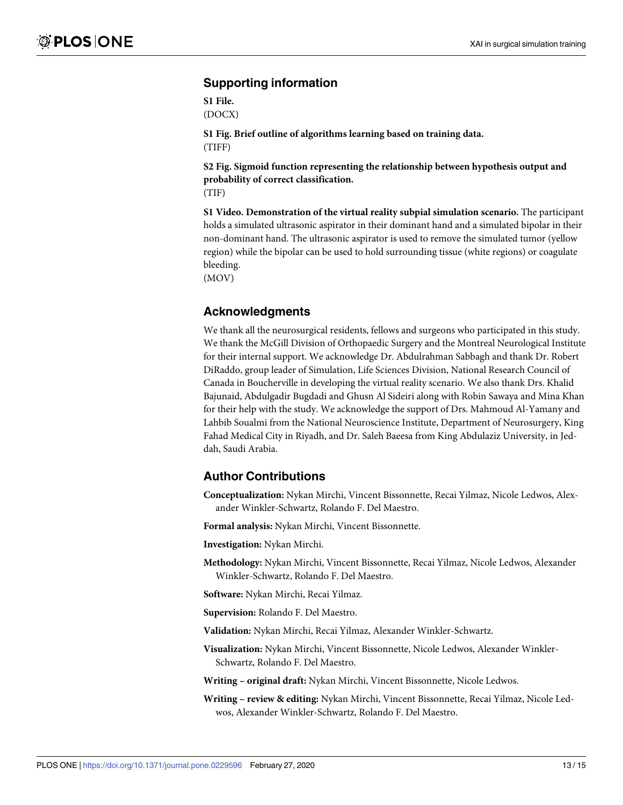## <span id="page-12-0"></span>**Supporting information**

**S1 [File.](http://www.plosone.org/article/fetchSingleRepresentation.action?uri=info:doi/10.1371/journal.pone.0229596.s001)** (DOCX)

**S1 [Fig](http://www.plosone.org/article/fetchSingleRepresentation.action?uri=info:doi/10.1371/journal.pone.0229596.s002). Brief outline of algorithms learning based on training data.** (TIFF)

**S2 [Fig](http://www.plosone.org/article/fetchSingleRepresentation.action?uri=info:doi/10.1371/journal.pone.0229596.s003). Sigmoid function representing the relationship between hypothesis output and probability of correct classification.** (TIF)

**S1 [Video](http://www.plosone.org/article/fetchSingleRepresentation.action?uri=info:doi/10.1371/journal.pone.0229596.s004). Demonstration of the virtual reality subpial simulation scenario.** The participant holds a simulated ultrasonic aspirator in their dominant hand and a simulated bipolar in their non-dominant hand. The ultrasonic aspirator is used to remove the simulated tumor (yellow region) while the bipolar can be used to hold surrounding tissue (white regions) or coagulate bleeding.

(MOV)

## **Acknowledgments**

We thank all the neurosurgical residents, fellows and surgeons who participated in this study. We thank the McGill Division of Orthopaedic Surgery and the Montreal Neurological Institute for their internal support. We acknowledge Dr. Abdulrahman Sabbagh and thank Dr. Robert DiRaddo, group leader of Simulation, Life Sciences Division, National Research Council of Canada in Boucherville in developing the virtual reality scenario. We also thank Drs. Khalid Bajunaid, Abdulgadir Bugdadi and Ghusn Al Sideiri along with Robin Sawaya and Mina Khan for their help with the study. We acknowledge the support of Drs. Mahmoud Al-Yamany and Lahbib Soualmi from the National Neuroscience Institute, Department of Neurosurgery, King Fahad Medical City in Riyadh, and Dr. Saleh Baeesa from King Abdulaziz University, in Jeddah, Saudi Arabia.

## **Author Contributions**

**Conceptualization:** Nykan Mirchi, Vincent Bissonnette, Recai Yilmaz, Nicole Ledwos, Alexander Winkler-Schwartz, Rolando F. Del Maestro.

**Formal analysis:** Nykan Mirchi, Vincent Bissonnette.

**Investigation:** Nykan Mirchi.

**Methodology:** Nykan Mirchi, Vincent Bissonnette, Recai Yilmaz, Nicole Ledwos, Alexander Winkler-Schwartz, Rolando F. Del Maestro.

**Software:** Nykan Mirchi, Recai Yilmaz.

**Supervision:** Rolando F. Del Maestro.

**Validation:** Nykan Mirchi, Recai Yilmaz, Alexander Winkler-Schwartz.

**Visualization:** Nykan Mirchi, Vincent Bissonnette, Nicole Ledwos, Alexander Winkler-Schwartz, Rolando F. Del Maestro.

**Writing – original draft:** Nykan Mirchi, Vincent Bissonnette, Nicole Ledwos.

**Writing – review & editing:** Nykan Mirchi, Vincent Bissonnette, Recai Yilmaz, Nicole Ledwos, Alexander Winkler-Schwartz, Rolando F. Del Maestro.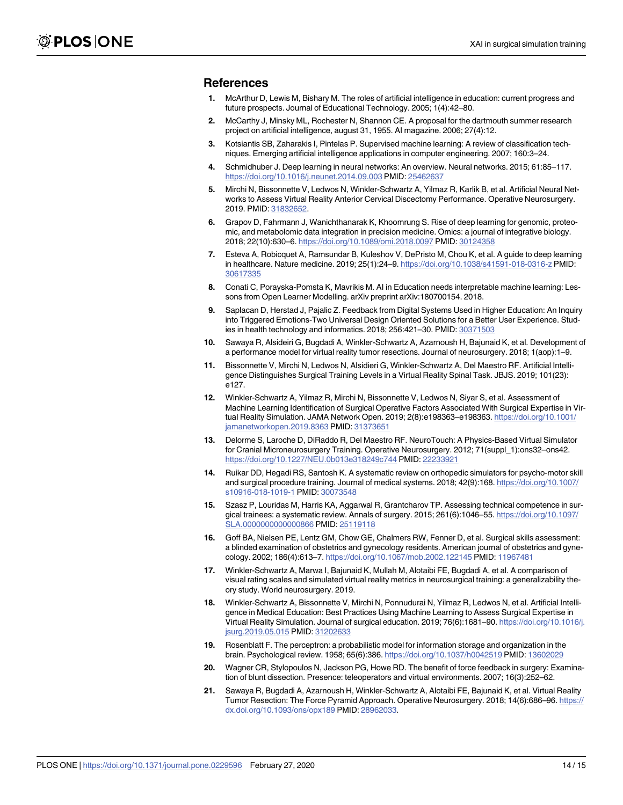## <span id="page-13-0"></span>**References**

- **[1](#page-1-0).** McArthur D, Lewis M, Bishary M. The roles of artificial intelligence in education: current progress and future prospects. Journal of Educational Technology. 2005; 1(4):42–80.
- **[2](#page-1-0).** McCarthy J, Minsky ML, Rochester N, Shannon CE. A proposal for the dartmouth summer research project on artificial intelligence, august 31, 1955. AI magazine. 2006; 27(4):12.
- **[3](#page-1-0).** Kotsiantis SB, Zaharakis I, Pintelas P. Supervised machine learning: A review of classification techniques. Emerging artificial intelligence applications in computer engineering. 2007; 160:3–24.
- **[4](#page-1-0).** Schmidhuber J. Deep learning in neural networks: An overview. Neural networks. 2015; 61:85–117. <https://doi.org/10.1016/j.neunet.2014.09.003> PMID: [25462637](http://www.ncbi.nlm.nih.gov/pubmed/25462637)
- **[5](#page-1-0).** Mirchi N, Bissonnette V, Ledwos N, Winkler-Schwartz A, Yilmaz R, Karlik B, et al. Artificial Neural Networks to Assess Virtual Reality Anterior Cervical Discectomy Performance. Operative Neurosurgery. 2019. PMID: [31832652.](http://www.ncbi.nlm.nih.gov/pubmed/31832652)
- **[6](#page-1-0).** Grapov D, Fahrmann J, Wanichthanarak K, Khoomrung S. Rise of deep learning for genomic, proteomic, and metabolomic data integration in precision medicine. Omics: a journal of integrative biology. 2018; 22(10):630–6. <https://doi.org/10.1089/omi.2018.0097> PMID: [30124358](http://www.ncbi.nlm.nih.gov/pubmed/30124358)
- **[7](#page-1-0).** Esteva A, Robicquet A, Ramsundar B, Kuleshov V, DePristo M, Chou K, et al. A guide to deep learning in healthcare. Nature medicine. 2019; 25(1):24–9. <https://doi.org/10.1038/s41591-018-0316-z> PMID: [30617335](http://www.ncbi.nlm.nih.gov/pubmed/30617335)
- **[8](#page-1-0).** Conati C, Porayska-Pomsta K, Mavrikis M. AI in Education needs interpretable machine learning: Lessons from Open Learner Modelling. arXiv preprint arXiv:180700154. 2018.
- **[9](#page-1-0).** Saplacan D, Herstad J, Pajalic Z. Feedback from Digital Systems Used in Higher Education: An Inquiry into Triggered Emotions-Two Universal Design Oriented Solutions for a Better User Experience. Studies in health technology and informatics. 2018; 256:421–30. PMID: [30371503](http://www.ncbi.nlm.nih.gov/pubmed/30371503)
- **[10](#page-1-0).** Sawaya R, Alsideiri G, Bugdadi A, Winkler-Schwartz A, Azarnoush H, Bajunaid K, et al. Development of a performance model for virtual reality tumor resections. Journal of neurosurgery. 2018; 1(aop):1–9.
- **[11](#page-1-0).** Bissonnette V, Mirchi N, Ledwos N, Alsidieri G, Winkler-Schwartz A, Del Maestro RF. Artificial Intelligence Distinguishes Surgical Training Levels in a Virtual Reality Spinal Task. JBJS. 2019; 101(23): e127.
- **[12](#page-1-0).** Winkler-Schwartz A, Yilmaz R, Mirchi N, Bissonnette V, Ledwos N, Siyar S, et al. Assessment of Machine Learning Identification of Surgical Operative Factors Associated With Surgical Expertise in Virtual Reality Simulation. JAMA Network Open. 2019; 2(8):e198363–e198363. [https://doi.org/10.1001/](https://doi.org/10.1001/jamanetworkopen.2019.8363) [jamanetworkopen.2019.8363](https://doi.org/10.1001/jamanetworkopen.2019.8363) PMID: [31373651](http://www.ncbi.nlm.nih.gov/pubmed/31373651)
- **[13](#page-1-0).** Delorme S, Laroche D, DiRaddo R, Del Maestro RF. NeuroTouch: A Physics-Based Virtual Simulator for Cranial Microneurosurgery Training. Operative Neurosurgery. 2012; 71(suppl\_1):ons32–ons42. <https://doi.org/10.1227/NEU.0b013e318249c744> PMID: [22233921](http://www.ncbi.nlm.nih.gov/pubmed/22233921)
- **[14](#page-1-0).** Ruikar DD, Hegadi RS, Santosh K. A systematic review on orthopedic simulators for psycho-motor skill and surgical procedure training. Journal of medical systems. 2018; 42(9):168. [https://doi.org/10.1007/](https://doi.org/10.1007/s10916-018-1019-1) [s10916-018-1019-1](https://doi.org/10.1007/s10916-018-1019-1) PMID: [30073548](http://www.ncbi.nlm.nih.gov/pubmed/30073548)
- **[15](#page-1-0).** Szasz P, Louridas M, Harris KA, Aggarwal R, Grantcharov TP. Assessing technical competence in surgical trainees: a systematic review. Annals of surgery. 2015; 261(6):1046–55. [https://doi.org/10.1097/](https://doi.org/10.1097/SLA.0000000000000866) [SLA.0000000000000866](https://doi.org/10.1097/SLA.0000000000000866) PMID: [25119118](http://www.ncbi.nlm.nih.gov/pubmed/25119118)
- **[16](#page-1-0).** Goff BA, Nielsen PE, Lentz GM, Chow GE, Chalmers RW, Fenner D, et al. Surgical skills assessment: a blinded examination of obstetrics and gynecology residents. American journal of obstetrics and gynecology. 2002; 186(4):613–7. <https://doi.org/10.1067/mob.2002.122145> PMID: [11967481](http://www.ncbi.nlm.nih.gov/pubmed/11967481)
- **[17](#page-1-0).** Winkler-Schwartz A, Marwa I, Bajunaid K, Mullah M, Alotaibi FE, Bugdadi A, et al. A comparison of visual rating scales and simulated virtual reality metrics in neurosurgical training: a generalizability theory study. World neurosurgery. 2019.
- **[18](#page-2-0).** Winkler-Schwartz A, Bissonnette V, Mirchi N, Ponnudurai N, Yilmaz R, Ledwos N, et al. Artificial Intelligence in Medical Education: Best Practices Using Machine Learning to Assess Surgical Expertise in Virtual Reality Simulation. Journal of surgical education. 2019; 76(6):1681–90. [https://doi.org/10.1016/j.](https://doi.org/10.1016/j.jsurg.2019.05.015) [jsurg.2019.05.015](https://doi.org/10.1016/j.jsurg.2019.05.015) PMID: [31202633](http://www.ncbi.nlm.nih.gov/pubmed/31202633)
- **[19](#page-2-0).** Rosenblatt F. The perceptron: a probabilistic model for information storage and organization in the brain. Psychological review. 1958; 65(6):386. <https://doi.org/10.1037/h0042519> PMID: [13602029](http://www.ncbi.nlm.nih.gov/pubmed/13602029)
- **[20](#page-2-0).** Wagner CR, Stylopoulos N, Jackson PG, Howe RD. The benefit of force feedback in surgery: Examination of blunt dissection. Presence: teleoperators and virtual environments. 2007; 16(3):252–62.
- **[21](#page-2-0).** Sawaya R, Bugdadi A, Azarnoush H, Winkler-Schwartz A, Alotaibi FE, Bajunaid K, et al. Virtual Reality Tumor Resection: The Force Pyramid Approach. Operative Neurosurgery. 2018; 14(6):686–96. [https://](https://dx.doi.org/10.1093/ons/opx189) [dx.doi.org/10.1093/ons/opx189](https://dx.doi.org/10.1093/ons/opx189) PMID: [28962033.](http://www.ncbi.nlm.nih.gov/pubmed/28962033)